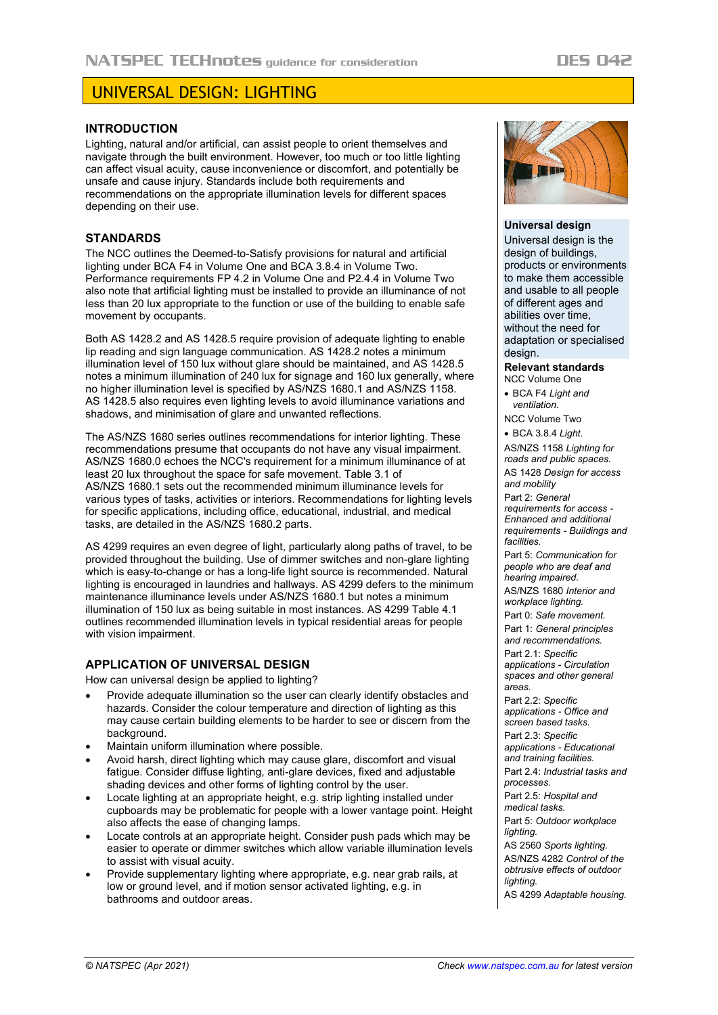# UNIVERSAL DESIGN: LIGHTING

## **INTRODUCTION**

Lighting, natural and/or artificial, can assist people to orient themselves and navigate through the built environment. However, too much or too little lighting can affect visual acuity, cause inconvenience or discomfort, and potentially be unsafe and cause injury. Standards include both requirements and recommendations on the appropriate illumination levels for different spaces depending on their use.

## **STANDARDS**

The NCC outlines the Deemed-to-Satisfy provisions for natural and artificial lighting under BCA F4 in Volume One and BCA 3.8.4 in Volume Two. Performance requirements FP 4.2 in Volume One and P2.4.4 in Volume Two also note that artificial lighting must be installed to provide an illuminance of not less than 20 lux appropriate to the function or use of the building to enable safe movement by occupants.

Both AS 1428.2 and AS 1428.5 require provision of adequate lighting to enable lip reading and sign language communication. AS 1428.2 notes a minimum illumination level of 150 lux without glare should be maintained, and AS 1428.5 notes a minimum illumination of 240 lux for signage and 160 lux generally, where no higher illumination level is specified by AS/NZS 1680.1 and AS/NZS 1158. AS 1428.5 also requires even lighting levels to avoid illuminance variations and shadows, and minimisation of glare and unwanted reflections.

The AS/NZS 1680 series outlines recommendations for interior lighting. These recommendations presume that occupants do not have any visual impairment. AS/NZS 1680.0 echoes the NCC's requirement for a minimum illuminance of at least 20 lux throughout the space for safe movement. Table 3.1 of AS/NZS 1680.1 sets out the recommended minimum illuminance levels for various types of tasks, activities or interiors. Recommendations for lighting levels for specific applications, including office, educational, industrial, and medical tasks, are detailed in the AS/NZS 1680.2 parts.

AS 4299 requires an even degree of light, particularly along paths of travel, to be provided throughout the building. Use of dimmer switches and non-glare lighting which is easy-to-change or has a long-life light source is recommended. Natural lighting is encouraged in laundries and hallways. AS 4299 defers to the minimum maintenance illuminance levels under AS/NZS 1680.1 but notes a minimum illumination of 150 lux as being suitable in most instances. AS 4299 Table 4.1 outlines recommended illumination levels in typical residential areas for people with vision impairment.

## **APPLICATION OF UNIVERSAL DESIGN**

How can universal design be applied to lighting?

- Provide adequate illumination so the user can clearly identify obstacles and hazards. Consider the colour temperature and direction of lighting as this may cause certain building elements to be harder to see or discern from the background.
- Maintain uniform illumination where possible.
- Avoid harsh, direct lighting which may cause glare, discomfort and visual fatigue. Consider diffuse lighting, anti-glare devices, fixed and adjustable shading devices and other forms of lighting control by the user.
- Locate lighting at an appropriate height, e.g. strip lighting installed under cupboards may be problematic for people with a lower vantage point. Height also affects the ease of changing lamps.
- Locate controls at an appropriate height. Consider push pads which may be easier to operate or dimmer switches which allow variable illumination levels to assist with visual acuity.
- Provide supplementary lighting where appropriate, e.g. near grab rails, at low or ground level, and if motion sensor activated lighting, e.g. in bathrooms and outdoor areas.



### **Universal design**

Universal design is the design of buildings, products or environments to make them accessible and usable to all people of different ages and abilities over time, without the need for adaptation or specialised design.

## **Relevant standards**

NCC Volume One

• BCA F4 *Light and ventilation.*

NCC Volume Two

• BCA 3.8.4 *Light.*

AS/NZS 1158 *Lighting for roads and public spaces.* AS 1428 *Design for access and mobility*

Part 2: *General requirements for access - Enhanced and additional requirements - Buildings and facilities.*

Part 5: *Communication for people who are deaf and hearing impaired.*

AS/NZS 1680 *Interior and workplace lighting.*

Part 0: *Safe movement.*

Part 1: *General principles and recommendations.* Part 2.1: *Specific applications - Circulation spaces and other general* 

*areas.* Part 2.2: *Specific applications - Office and* 

*screen based tasks.* Part 2.3: *Specific* 

*applications - Educational* 

*and training facilities.* Part 2.4: *Industrial tasks and processes.*

Part 2.5: *Hospital and* 

*medical tasks.*

Part 5: *Outdoor workplace lighting.*

AS 2560 *Sports lighting.* AS/NZS 4282 *Control of the obtrusive effects of outdoor lighting.*

AS 4299 *Adaptable housing.*